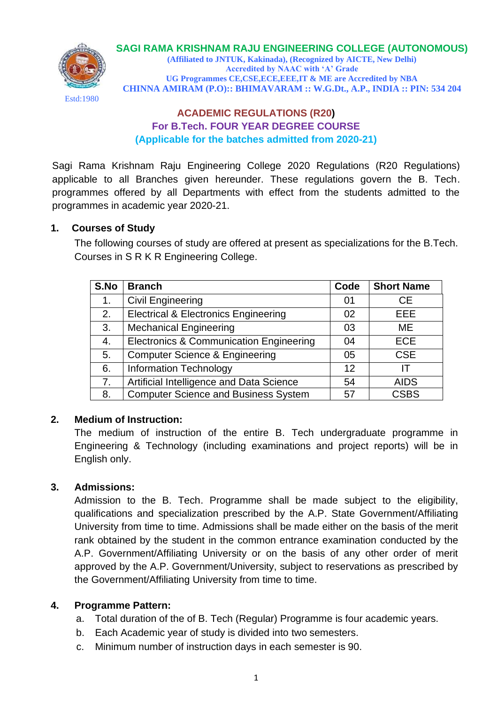Estd:1980

#### **SAGI RAMA KRISHNAM RAJU ENGINEERING COLLEGE (AUTONOMOUS)**

**(Affiliated to JNTUK, Kakinada), (Recognized by AICTE, New Delhi) Accredited by NAAC with 'A' Grade UG Programmes CE,CSE,ECE,EEE,IT & ME are Accredited by NBA CHINNA AMIRAM (P.O):: BHIMAVARAM :: W.G.Dt., A.P., INDIA :: PIN: 534 204**

# **ACADEMIC REGULATIONS (R20) For B.Tech. FOUR YEAR DEGREE COURSE (Applicable for the batches admitted from 2020-21)**

Sagi Rama Krishnam Raju Engineering College 2020 Regulations (R20 Regulations) applicable to all Branches given hereunder. These regulations govern the B. Tech. programmes offered by all Departments with effect from the students admitted to the programmes in academic year 2020-21.

## **1. Courses of Study**

The following courses of study are offered at present as specializations for the B.Tech. Courses in S R K R Engineering College.

| S.No | <b>Branch</b>                                   | Code | <b>Short Name</b> |
|------|-------------------------------------------------|------|-------------------|
| 1.   | <b>Civil Engineering</b>                        | 01   | <b>CE</b>         |
| 2.   | <b>Electrical &amp; Electronics Engineering</b> | 02   | <b>EEE</b>        |
| 3.   | <b>Mechanical Engineering</b>                   | 03   | ME.               |
| 4.   | Electronics & Communication Engineering         | 04   | <b>ECE</b>        |
| 5.   | <b>Computer Science &amp; Engineering</b>       | 05   | <b>CSE</b>        |
| 6.   | <b>Information Technology</b>                   | 12   | IΤ                |
| 7.   | Artificial Intelligence and Data Science        | 54   | <b>AIDS</b>       |
| 8.   | <b>Computer Science and Business System</b>     | 57   | <b>CSBS</b>       |

# **2. Medium of Instruction:**

The medium of instruction of the entire B. Tech undergraduate programme in Engineering & Technology (including examinations and project reports) will be in English only.

# **3. Admissions:**

Admission to the B. Tech. Programme shall be made subject to the eligibility, qualifications and specialization prescribed by the A.P. State Government/Affiliating University from time to time. Admissions shall be made either on the basis of the merit rank obtained by the student in the common entrance examination conducted by the A.P. Government/Affiliating University or on the basis of any other order of merit approved by the A.P. Government/University, subject to reservations as prescribed by the Government/Affiliating University from time to time.

#### **4. Programme Pattern:**

- a. Total duration of the of B. Tech (Regular) Programme is four academic years.
- b. Each Academic year of study is divided into two semesters.
- c. Minimum number of instruction days in each semester is 90.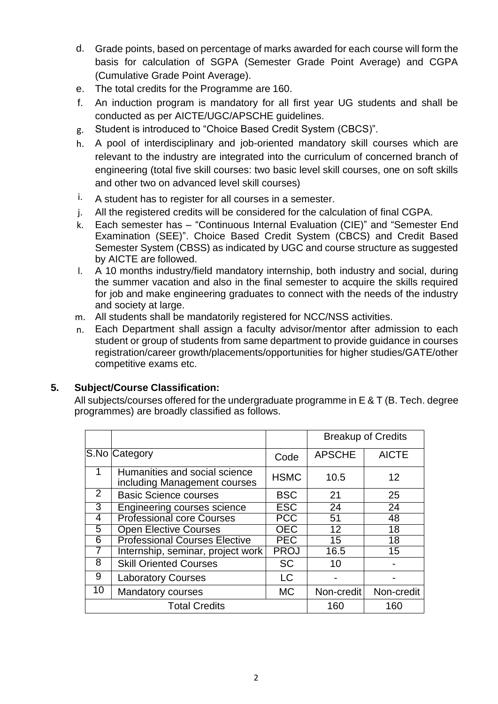- d. Grade points, based on percentage of marks awarded for each course will form the basis for calculation of SGPA (Semester Grade Point Average) and CGPA (Cumulative Grade Point Average).
- e. The total credits for the Programme are 160.
- f. An induction program is mandatory for all first year UG students and shall be conducted as per AICTE/UGC/APSCHE guidelines.
- g. Student is introduced to "Choice Based Credit System (CBCS)".
- h. A pool of interdisciplinary and job-oriented mandatory skill courses which are relevant to the industry are integrated into the curriculum of concerned branch of engineering (total five skill courses: two basic level skill courses, one on soft skills and other two on advanced level skill courses)
- $i.$  A student has to register for all courses in a semester.
- j. All the registered credits will be considered for the calculation of final CGPA.
- k. Each semester has "Continuous Internal Evaluation (CIE)" and "Semester End Examination (SEE)". Choice Based Credit System (CBCS) and Credit Based Semester System (CBSS) as indicated by UGC and course structure as suggested by AICTE are followed.
- l. A 10 months industry/field mandatory internship, both industry and social, during the summer vacation and also in the final semester to acquire the skills required for job and make engineering graduates to connect with the needs of the industry and society at large.
- m. All students shall be mandatorily registered for NCC/NSS activities.
- n. Each Department shall assign a faculty advisor/mentor after admission to each student or group of students from same department to provide guidance in courses registration/career growth/placements/opportunities for higher studies/GATE/other competitive exams etc.

# **5. Subject/Course Classification:**

All subjects/courses offered for the undergraduate programme in E & T (B. Tech. degree programmes) are broadly classified as follows.

|    |                                                               |             |                 | <b>Breakup of Credits</b> |
|----|---------------------------------------------------------------|-------------|-----------------|---------------------------|
|    | S.No Category                                                 | Code        | <b>APSCHE</b>   | <b>AICTE</b>              |
|    | Humanities and social science<br>including Management courses | <b>HSMC</b> | 10.5            | 12                        |
| 2  | <b>Basic Science courses</b>                                  | <b>BSC</b>  | 21              | 25                        |
| 3  | Engineering courses science                                   | <b>ESC</b>  | 24              | 24                        |
| 4  | <b>Professional core Courses</b>                              | <b>PCC</b>  | 51              | 48                        |
| 5  | <b>Open Elective Courses</b>                                  | <b>OEC</b>  | $\overline{12}$ | $\overline{18}$           |
| 6  | <b>Professional Courses Elective</b>                          | <b>PEC</b>  | 15              | 18                        |
|    | Internship, seminar, project work                             | <b>PROJ</b> | 16.5            | 15                        |
| 8  | <b>Skill Oriented Courses</b>                                 | <b>SC</b>   | 10              |                           |
| 9  | <b>Laboratory Courses</b>                                     | <b>LC</b>   |                 |                           |
| 10 | <b>Mandatory courses</b>                                      | <b>MC</b>   | Non-credit      | Non-credit                |
|    | <b>Total Credits</b>                                          |             | 160             | 160                       |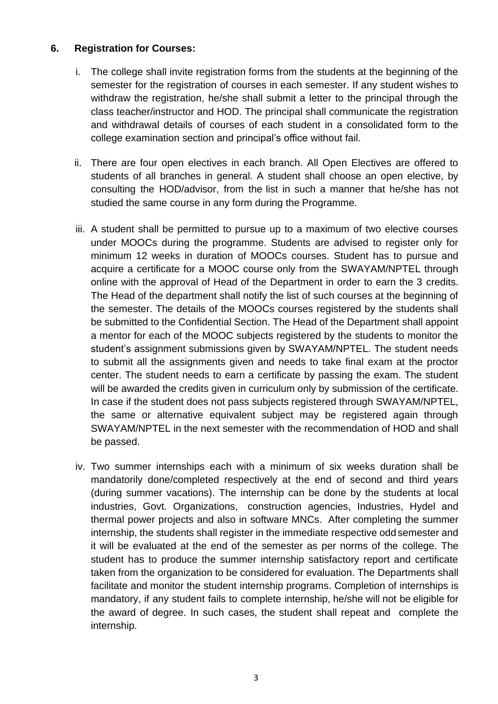## **6. Registration for Courses:**

- i. The college shall invite registration forms from the students at the beginning of the semester for the registration of courses in each semester. If any student wishes to withdraw the registration, he/she shall submit a letter to the principal through the class teacher/instructor and HOD. The principal shall communicate the registration and withdrawal details of courses of each student in a consolidated form to the college examination section and principal's office without fail.
- ii. There are four open electives in each branch. All Open Electives are offered to students of all branches in general. A student shall choose an open elective, by consulting the HOD/advisor, from the list in such a manner that he/she has not studied the same course in any form during the Programme.
- iii. A student shall be permitted to pursue up to a maximum of two elective courses under MOOCs during the programme. Students are advised to register only for minimum 12 weeks in duration of MOOCs courses. Student has to pursue and acquire a certificate for a MOOC course only from the SWAYAM/NPTEL through online with the approval of Head of the Department in order to earn the 3 credits. The Head of the department shall notify the list of such courses at the beginning of the semester. The details of the MOOCs courses registered by the students shall be submitted to the Confidential Section. The Head of the Department shall appoint a mentor for each of the MOOC subjects registered by the students to monitor the student's assignment submissions given by SWAYAM/NPTEL. The student needs to submit all the assignments given and needs to take final exam at the proctor center. The student needs to earn a certificate by passing the exam. The student will be awarded the credits given in curriculum only by submission of the certificate. In case if the student does not pass subjects registered through SWAYAM/NPTEL, the same or alternative equivalent subject may be registered again through SWAYAM/NPTEL in the next semester with the recommendation of HOD and shall be passed.
- iv. Two summer internships each with a minimum of six weeks duration shall be mandatorily done/completed respectively at the end of second and third years (during summer vacations). The internship can be done by the students at local industries, Govt. Organizations, construction agencies, Industries, Hydel and thermal power projects and also in software MNCs. After completing the summer internship, the students shall register in the immediate respective odd semester and it will be evaluated at the end of the semester as per norms of the college. The student has to produce the summer internship satisfactory report and certificate taken from the organization to be considered for evaluation. The Departments shall facilitate and monitor the student internship programs. Completion of internships is mandatory, if any student fails to complete internship, he/she will not be eligible for the award of degree. In such cases, the student shall repeat and complete the internship.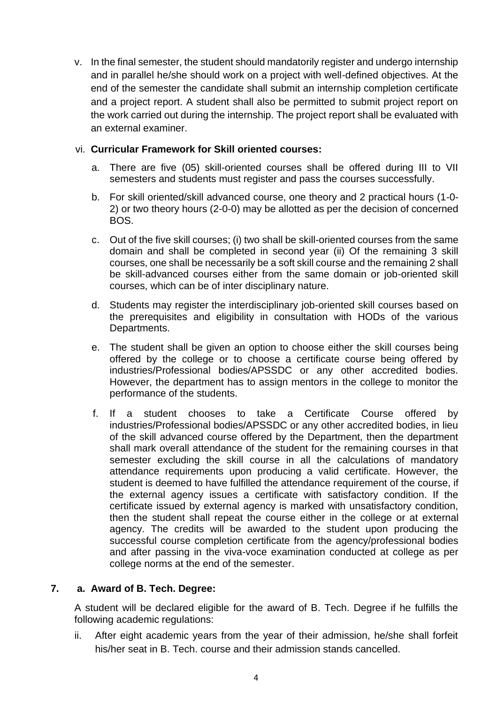v. In the final semester, the student should mandatorily register and undergo internship and in parallel he/she should work on a project with well-defined objectives. At the end of the semester the candidate shall submit an internship completion certificate and a project report. A student shall also be permitted to submit project report on the work carried out during the internship. The project report shall be evaluated with an external examiner.

## vi. **Curricular Framework for Skill oriented courses:**

- a. There are five (05) skill-oriented courses shall be offered during III to VII semesters and students must register and pass the courses successfully.
- b. For skill oriented/skill advanced course, one theory and 2 practical hours (1-0- 2) or two theory hours (2-0-0) may be allotted as per the decision of concerned BOS.
- c. Out of the five skill courses; (i) two shall be skill-oriented courses from the same domain and shall be completed in second year (ii) Of the remaining 3 skill courses, one shall be necessarily be a soft skill course and the remaining 2 shall be skill-advanced courses either from the same domain or job-oriented skill courses, which can be of inter disciplinary nature.
- d. Students may register the interdisciplinary job-oriented skill courses based on the prerequisites and eligibility in consultation with HODs of the various Departments.
- e. The student shall be given an option to choose either the skill courses being offered by the college or to choose a certificate course being offered by industries/Professional bodies/APSSDC or any other accredited bodies. However, the department has to assign mentors in the college to monitor the performance of the students.
- f. If a student chooses to take a Certificate Course offered by industries/Professional bodies/APSSDC or any other accredited bodies, in lieu of the skill advanced course offered by the Department, then the department shall mark overall attendance of the student for the remaining courses in that semester excluding the skill course in all the calculations of mandatory attendance requirements upon producing a valid certificate. However, the student is deemed to have fulfilled the attendance requirement of the course, if the external agency issues a certificate with satisfactory condition. If the certificate issued by external agency is marked with unsatisfactory condition, then the student shall repeat the course either in the college or at external agency. The credits will be awarded to the student upon producing the successful course completion certificate from the agency/professional bodies and after passing in the viva-voce examination conducted at college as per college norms at the end of the semester.

#### **7. a. Award of B. Tech. Degree:**

A student will be declared eligible for the award of B. Tech. Degree if he fulfills the following academic regulations:

ii. After eight academic years from the year of their admission, he/she shall forfeit his/her seat in B. Tech. course and their admission stands cancelled.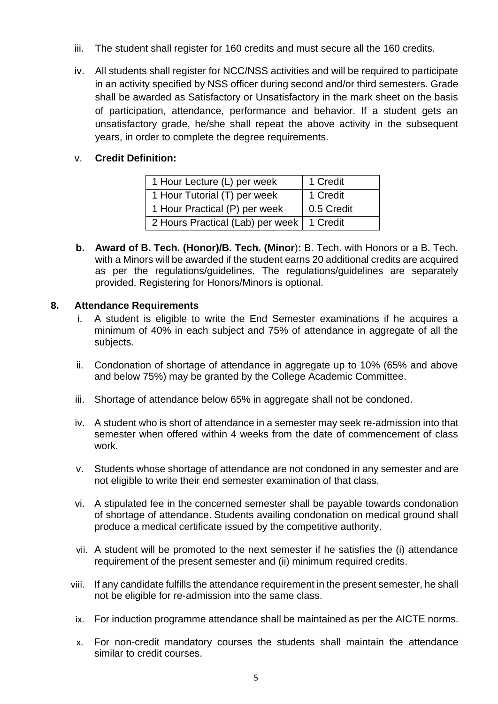- iii. The student shall register for 160 credits and must secure all the 160 credits.
- iv. All students shall register for NCC/NSS activities and will be required to participate in an activity specified by NSS officer during second and/or third semesters. Grade shall be awarded as Satisfactory or Unsatisfactory in the mark sheet on the basis of participation, attendance, performance and behavior. If a student gets an unsatisfactory grade, he/she shall repeat the above activity in the subsequent years, in order to complete the degree requirements.

# v. **Credit Definition:**

| 1 Hour Lecture (L) per week                 | 1 Credit   |
|---------------------------------------------|------------|
| 1 Hour Tutorial (T) per week                | 1 Credit   |
| 1 Hour Practical (P) per week               | 0.5 Credit |
| 2 Hours Practical (Lab) per week   1 Credit |            |

**b. Award of B. Tech. (Honor)/B. Tech. (Minor**)**:** B. Tech. with Honors or a B. Tech. with a Minors will be awarded if the student earns 20 additional credits are acquired as per the regulations/guidelines. The regulations/guidelines are separately provided. Registering for Honors/Minors is optional.

# **8. Attendance Requirements**

- i. A student is eligible to write the End Semester examinations if he acquires a minimum of 40% in each subject and 75% of attendance in aggregate of all the subjects.
- ii. Condonation of shortage of attendance in aggregate up to 10% (65% and above and below 75%) may be granted by the College Academic Committee.
- iii. Shortage of attendance below 65% in aggregate shall not be condoned.
- iv. A student who is short of attendance in a semester may seek re-admission into that semester when offered within 4 weeks from the date of commencement of class work.
- v. Students whose shortage of attendance are not condoned in any semester and are not eligible to write their end semester examination of that class.
- vi. A stipulated fee in the concerned semester shall be payable towards condonation of shortage of attendance. Students availing condonation on medical ground shall produce a medical certificate issued by the competitive authority.
- vii. A student will be promoted to the next semester if he satisfies the (i) attendance requirement of the present semester and (ii) minimum required credits.
- viii. If any candidate fulfills the attendance requirement in the present semester, he shall not be eligible for re-admission into the same class.
- ix. For induction programme attendance shall be maintained as per the AICTE norms.
- x. For non-credit mandatory courses the students shall maintain the attendance similar to credit courses.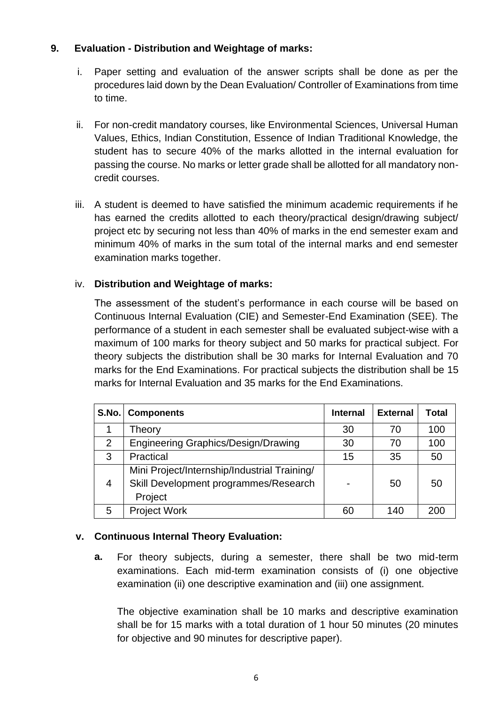# **9. Evaluation - Distribution and Weightage of marks:**

- i. Paper setting and evaluation of the answer scripts shall be done as per the procedures laid down by the Dean Evaluation/ Controller of Examinations from time to time.
- ii. For non-credit mandatory courses, like Environmental Sciences, Universal Human Values, Ethics, Indian Constitution, Essence of Indian Traditional Knowledge, the student has to secure 40% of the marks allotted in the internal evaluation for passing the course. No marks or letter grade shall be allotted for all mandatory noncredit courses.
- iii. A student is deemed to have satisfied the minimum academic requirements if he has earned the credits allotted to each theory/practical design/drawing subject/ project etc by securing not less than 40% of marks in the end semester exam and minimum 40% of marks in the sum total of the internal marks and end semester examination marks together.

# iv. **Distribution and Weightage of marks:**

The assessment of the student's performance in each course will be based on Continuous Internal Evaluation (CIE) and Semester-End Examination (SEE). The performance of a student in each semester shall be evaluated subject-wise with a maximum of 100 marks for theory subject and 50 marks for practical subject. For theory subjects the distribution shall be 30 marks for Internal Evaluation and 70 marks for the End Examinations. For practical subjects the distribution shall be 15 marks for Internal Evaluation and 35 marks for the End Examinations.

| S.No. | <b>Components</b>                            | <b>Internal</b> | <b>External</b> | <b>Total</b> |
|-------|----------------------------------------------|-----------------|-----------------|--------------|
|       | Theory                                       | 30              | 70              | 100          |
| 2     | <b>Engineering Graphics/Design/Drawing</b>   | 30              | 70              | 100          |
| 3     | Practical                                    | 15              | 35              | 50           |
|       | Mini Project/Internship/Industrial Training/ |                 |                 |              |
| 4     | Skill Development programmes/Research        | $\blacksquare$  | 50              | 50           |
|       | Project                                      |                 |                 |              |
| 5     | <b>Project Work</b>                          | 60              | 140             | 200          |

# **v. Continuous Internal Theory Evaluation:**

**a.** For theory subjects, during a semester, there shall be two mid-term examinations. Each mid-term examination consists of (i) one objective examination (ii) one descriptive examination and (iii) one assignment.

The objective examination shall be 10 marks and descriptive examination shall be for 15 marks with a total duration of 1 hour 50 minutes (20 minutes for objective and 90 minutes for descriptive paper).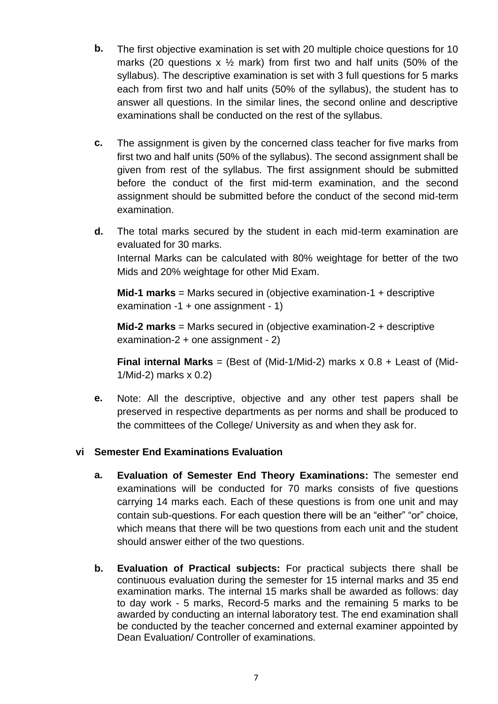- **b.** The first objective examination is set with 20 multiple choice questions for 10 marks (20 questions  $x \frac{1}{2}$  mark) from first two and half units (50% of the syllabus). The descriptive examination is set with 3 full questions for 5 marks each from first two and half units (50% of the syllabus), the student has to answer all questions. In the similar lines, the second online and descriptive examinations shall be conducted on the rest of the syllabus.
- **c.** The assignment is given by the concerned class teacher for five marks from first two and half units (50% of the syllabus). The second assignment shall be given from rest of the syllabus. The first assignment should be submitted before the conduct of the first mid-term examination, and the second assignment should be submitted before the conduct of the second mid-term examination.
- **d.** The total marks secured by the student in each mid-term examination are evaluated for 30 marks. Internal Marks can be calculated with 80% weightage for better of the two Mids and 20% weightage for other Mid Exam.

**Mid-1 marks** = Marks secured in (objective examination-1 + descriptive examination -1 + one assignment - 1)

**Mid-2 marks** = Marks secured in (objective examination-2 + descriptive examination-2 + one assignment - 2)

**Final internal Marks** = (Best of (Mid-1/Mid-2) marks x 0.8 + Least of (Mid-1/Mid-2) marks x 0.2)

**e.** Note: All the descriptive, objective and any other test papers shall be preserved in respective departments as per norms and shall be produced to the committees of the College/ University as and when they ask for.

# **vi Semester End Examinations Evaluation**

- **a. Evaluation of Semester End Theory Examinations:** The semester end examinations will be conducted for 70 marks consists of five questions carrying 14 marks each. Each of these questions is from one unit and may contain sub-questions. For each question there will be an "either" "or" choice, which means that there will be two questions from each unit and the student should answer either of the two questions.
- **b. Evaluation of Practical subjects:** For practical subjects there shall be continuous evaluation during the semester for 15 internal marks and 35 end examination marks. The internal 15 marks shall be awarded as follows: day to day work - 5 marks, Record-5 marks and the remaining 5 marks to be awarded by conducting an internal laboratory test. The end examination shall be conducted by the teacher concerned and external examiner appointed by Dean Evaluation/ Controller of examinations.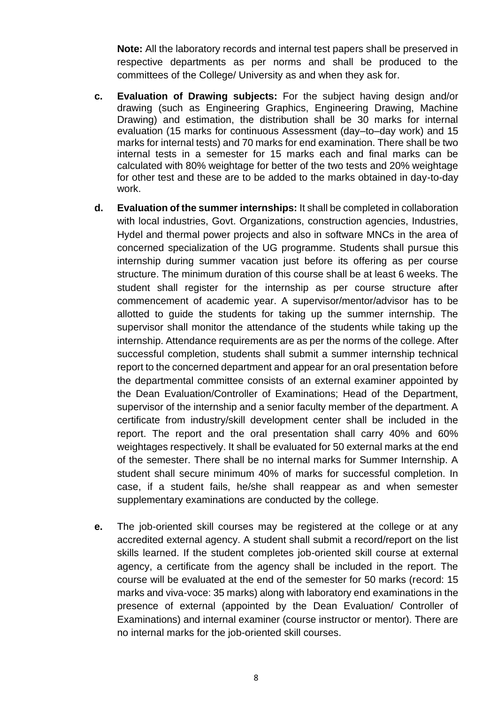**Note:** All the laboratory records and internal test papers shall be preserved in respective departments as per norms and shall be produced to the committees of the College/ University as and when they ask for.

- **c. Evaluation of Drawing subjects:** For the subject having design and/or drawing (such as Engineering Graphics, Engineering Drawing, Machine Drawing) and estimation, the distribution shall be 30 marks for internal evaluation (15 marks for continuous Assessment (day–to–day work) and 15 marks for internal tests) and 70 marks for end examination. There shall be two internal tests in a semester for 15 marks each and final marks can be calculated with 80% weightage for better of the two tests and 20% weightage for other test and these are to be added to the marks obtained in day-to-day work.
- **d. Evaluation of the summer internships:** It shall be completed in collaboration with local industries, Govt. Organizations, construction agencies, Industries, Hydel and thermal power projects and also in software MNCs in the area of concerned specialization of the UG programme. Students shall pursue this internship during summer vacation just before its offering as per course structure. The minimum duration of this course shall be at least 6 weeks. The student shall register for the internship as per course structure after commencement of academic year. A supervisor/mentor/advisor has to be allotted to guide the students for taking up the summer internship. The supervisor shall monitor the attendance of the students while taking up the internship. Attendance requirements are as per the norms of the college. After successful completion, students shall submit a summer internship technical report to the concerned department and appear for an oral presentation before the departmental committee consists of an external examiner appointed by the Dean Evaluation/Controller of Examinations; Head of the Department, supervisor of the internship and a senior faculty member of the department. A certificate from industry/skill development center shall be included in the report. The report and the oral presentation shall carry 40% and 60% weightages respectively. It shall be evaluated for 50 external marks at the end of the semester. There shall be no internal marks for Summer Internship. A student shall secure minimum 40% of marks for successful completion. In case, if a student fails, he/she shall reappear as and when semester supplementary examinations are conducted by the college.
- **e.** The job-oriented skill courses may be registered at the college or at any accredited external agency. A student shall submit a record/report on the list skills learned. If the student completes job-oriented skill course at external agency, a certificate from the agency shall be included in the report. The course will be evaluated at the end of the semester for 50 marks (record: 15 marks and viva-voce: 35 marks) along with laboratory end examinations in the presence of external (appointed by the Dean Evaluation/ Controller of Examinations) and internal examiner (course instructor or mentor). There are no internal marks for the job-oriented skill courses.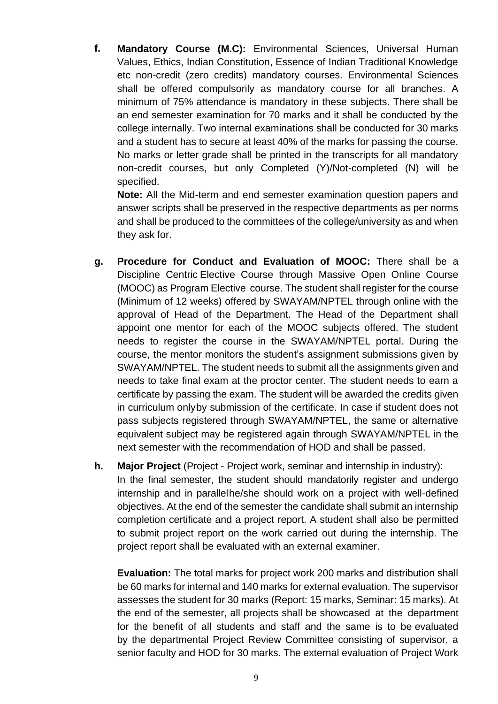**f. Mandatory Course (M.C):** Environmental Sciences, Universal Human Values, Ethics, Indian Constitution, Essence of Indian Traditional Knowledge etc non-credit (zero credits) mandatory courses. Environmental Sciences shall be offered compulsorily as mandatory course for all branches. A minimum of 75% attendance is mandatory in these subjects. There shall be an end semester examination for 70 marks and it shall be conducted by the college internally. Two internal examinations shall be conducted for 30 marks and a student has to secure at least 40% of the marks for passing the course. No marks or letter grade shall be printed in the transcripts for all mandatory non-credit courses, but only Completed (Y)/Not-completed (N) will be specified.

**Note:** All the Mid-term and end semester examination question papers and answer scripts shall be preserved in the respective departments as per norms and shall be produced to the committees of the college/university as and when they ask for.

- **g. Procedure for Conduct and Evaluation of MOOC:** There shall be a Discipline Centric Elective Course through Massive Open Online Course (MOOC) as Program Elective course. The student shall register for the course (Minimum of 12 weeks) offered by SWAYAM/NPTEL through online with the approval of Head of the Department. The Head of the Department shall appoint one mentor for each of the MOOC subjects offered. The student needs to register the course in the SWAYAM/NPTEL portal. During the course, the mentor monitors the student's assignment submissions given by SWAYAM/NPTEL. The student needs to submit all the assignments given and needs to take final exam at the proctor center. The student needs to earn a certificate by passing the exam. The student will be awarded the credits given in curriculum onlyby submission of the certificate. In case if student does not pass subjects registered through SWAYAM/NPTEL, the same or alternative equivalent subject may be registered again through SWAYAM/NPTEL in the next semester with the recommendation of HOD and shall be passed.
- **h. Major Project** (Project Project work, seminar and internship in industry): In the final semester, the student should mandatorily register and undergo internship and in parallelhe/she should work on a project with well-defined objectives. At the end of the semester the candidate shall submit an internship completion certificate and a project report. A student shall also be permitted to submit project report on the work carried out during the internship. The project report shall be evaluated with an external examiner.

**Evaluation:** The total marks for project work 200 marks and distribution shall be 60 marks for internal and 140 marks for external evaluation. The supervisor assesses the student for 30 marks (Report: 15 marks, Seminar: 15 marks). At the end of the semester, all projects shall be showcased at the department for the benefit of all students and staff and the same is to be evaluated by the departmental Project Review Committee consisting of supervisor, a senior faculty and HOD for 30 marks. The external evaluation of Project Work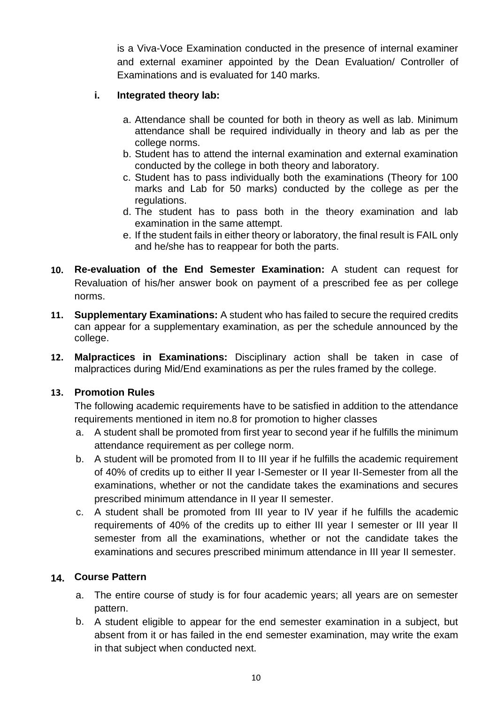is a Viva-Voce Examination conducted in the presence of internal examiner and external examiner appointed by the Dean Evaluation/ Controller of Examinations and is evaluated for 140 marks.

# **i. Integrated theory lab:**

- a. Attendance shall be counted for both in theory as well as lab. Minimum attendance shall be required individually in theory and lab as per the college norms.
- b. Student has to attend the internal examination and external examination conducted by the college in both theory and laboratory.
- c. Student has to pass individually both the examinations (Theory for 100 marks and Lab for 50 marks) conducted by the college as per the regulations.
- d. The student has to pass both in the theory examination and lab examination in the same attempt.
- e. If the student fails in either theory or laboratory, the final result is FAIL only and he/she has to reappear for both the parts.
- **10. Re-evaluation of the End Semester Examination:** A student can request for Revaluation of his/her answer book on payment of a prescribed fee as per college norms.
- **11. Supplementary Examinations:** A student who has failed to secure the required credits can appear for a supplementary examination, as per the schedule announced by the college.
- **12. Malpractices in Examinations:** Disciplinary action shall be taken in case of malpractices during Mid/End examinations as per the rules framed by the college.

#### **13. Promotion Rules**

The following academic requirements have to be satisfied in addition to the attendance requirements mentioned in item no.8 for promotion to higher classes

- a. A student shall be promoted from first year to second year if he fulfills the minimum attendance requirement as per college norm.
- b. A student will be promoted from II to III year if he fulfills the academic requirement of 40% of credits up to either II year I-Semester or II year II-Semester from all the examinations, whether or not the candidate takes the examinations and secures prescribed minimum attendance in II year II semester.
- c. A student shall be promoted from III year to IV year if he fulfills the academic requirements of 40% of the credits up to either III year I semester or III year II semester from all the examinations, whether or not the candidate takes the examinations and secures prescribed minimum attendance in III year II semester.

# **14. Course Pattern**

- a. The entire course of study is for four academic years; all years are on semester pattern.
- b. A student eligible to appear for the end semester examination in a subject, but absent from it or has failed in the end semester examination, may write the exam in that subject when conducted next.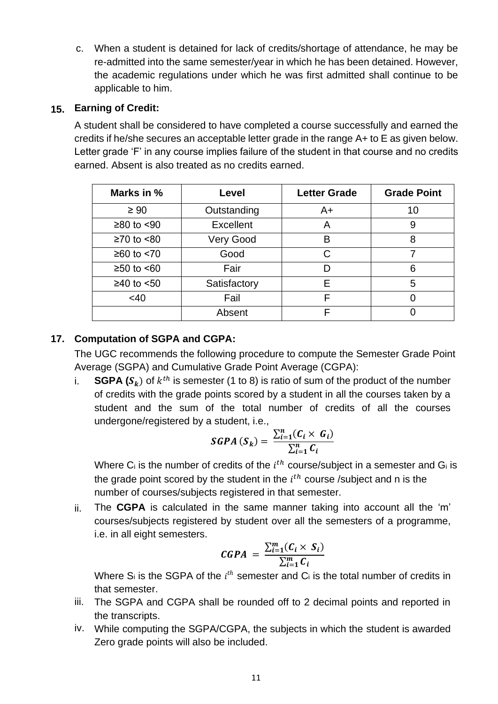c. When a student is detained for lack of credits/shortage of attendance, he may be re-admitted into the same semester/year in which he has been detained. However, the academic regulations under which he was first admitted shall continue to be applicable to him.

# **15. Earning of Credit:**

A student shall be considered to have completed a course successfully and earned the credits if he/she secures an acceptable letter grade in the range A+ to E as given below. Letter grade 'F' in any course implies failure of the student in that course and no credits earned. Absent is also treated as no credits earned.

| Marks in %     | Level        | <b>Letter Grade</b> | <b>Grade Point</b> |
|----------------|--------------|---------------------|--------------------|
| $\geq 90$      | Outstanding  | A+                  | 10                 |
| $≥80$ to $≤90$ | Excellent    | A                   | 9                  |
| $≥70$ to $≤80$ | Very Good    | B                   | 8                  |
| $≥60$ to $≤70$ | Good         | C                   | 7                  |
| $≥50$ to $≤60$ | Fair         | D                   | 6                  |
| $≥40$ to $≤50$ | Satisfactory | E                   | 5                  |
| <40            | Fail         | F                   | 0                  |
|                | Absent       | F                   |                    |

# **17. Computation of SGPA and CGPA:**

The UGC recommends the following procedure to compute the Semester Grade Point Average (SGPA) and Cumulative Grade Point Average (CGPA):

i.  $\bullet$  **SGPA** ( $\mathcal{S}_k$ ) of  $k^{th}$  is semester (1 to 8) is ratio of sum of the product of the number of credits with the grade points scored by a student in all the courses taken by a student and the sum of the total number of credits of all the courses undergone/registered by a student, i.e.,

SGPA 
$$
(S_k)
$$
 = 
$$
\frac{\sum_{i=1}^{n} (C_i \times G_i)}{\sum_{i=1}^{n} C_i}
$$

Where C<sub>i</sub> is the number of credits of the  $i<sup>th</sup>$  course/subject in a semester and G<sub>i</sub> is the grade point scored by the student in the  $i^{th}$  course /subject and n is the number of courses/subjects registered in that semester.

ii. The **CGPA** is calculated in the same manner taking into account all the 'm' courses/subjects registered by student over all the semesters of a programme, i.e. in all eight semesters.

$$
CGPA = \frac{\sum_{i=1}^{m} (C_i \times S_i)}{\sum_{i=1}^{m} C_i}
$$

Where S<sub>i</sub> is the SGPA of the  $i<sup>th</sup>$  semester and C<sub>i</sub> is the total number of credits in that semester.

- iii. The SGPA and CGPA shall be rounded off to 2 decimal points and reported in the transcripts.
- iv. While computing the SGPA/CGPA, the subjects in which the student is awarded Zero grade points will also be included.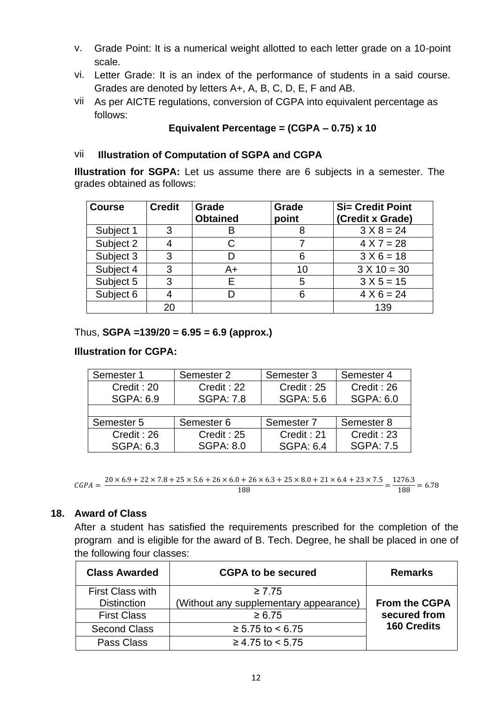- v. Grade Point: It is a numerical weight allotted to each letter grade on a 10-point scale.
- vi. Letter Grade: It is an index of the performance of students in a said course. Grades are denoted by letters A+, A, B, C, D, E, F and AB.
- vii As per AICTE regulations, conversion of CGPA into equivalent percentage as follows:

# **Equivalent Percentage = (CGPA – 0.75) x 10**

## vii❖ **Illustration of Computation of SGPA and CGPA**

**Illustration for SGPA:** Let us assume there are 6 subjects in a semester. The grades obtained as follows:

| <b>Course</b> | <b>Credit</b> | Grade<br><b>Obtained</b> | Grade<br>point | <b>Si= Credit Point</b><br>(Credit x Grade) |
|---------------|---------------|--------------------------|----------------|---------------------------------------------|
| Subject 1     | 3             | B                        |                | $3 X 8 = 24$                                |
| Subject 2     |               |                          |                | $4 X 7 = 28$                                |
| Subject 3     | 3             |                          |                | $3 X 6 = 18$                                |
| Subject 4     | 3             | A+                       | 10             | $3 X 10 = 30$                               |
| Subject 5     | 3             | F                        | 5              | $3 X 5 = 15$                                |
| Subject 6     |               |                          |                | $4 \times 6 = 24$                           |
|               | 20            |                          |                | 139                                         |

Thus, **SGPA =139/20 = 6.95 = 6.9 (approx.)**

## **Illustration for CGPA:**

| Semester 1       | Semester 2       | Semester 3            | Semester 4       |
|------------------|------------------|-----------------------|------------------|
| Credit: 20       | Credit: 22       | Credit: 25            | Credit: 26       |
| <b>SGPA: 6.9</b> | <b>SGPA: 7.8</b> | <b>SGPA: 5.6</b>      | <b>SGPA: 6.0</b> |
|                  |                  |                       |                  |
| Semester 5       | Semester 6       | Semester <sub>7</sub> | Semester 8       |
| Credit: 26       | Credit: 25       | Credit: 21            | Credit: 23       |
| <b>SGPA: 6.3</b> | <b>SGPA: 8.0</b> | <b>SGPA: 6.4</b>      | <b>SGPA: 7.5</b> |

```
CGPA = \frac{20 \times 6.9 + 22 \times 7.8 + 25 \times 5.6 + 26 \times 6.0 + 26 \times 6.3 + 25 \times 8.0 + 21 \times 6.4 + 23 \times 7.5}{188} = \frac{1276.3}{188} = 6.78
```
# **18. Award of Class**

After a student has satisfied the requirements prescribed for the completion of the program and is eligible for the award of B. Tech. Degree, he shall be placed in one of the following four classes:

| <b>Class Awarded</b>    | <b>CGPA to be secured</b>              | <b>Remarks</b>       |
|-------------------------|----------------------------------------|----------------------|
| <b>First Class with</b> | $\geq 7.75$                            |                      |
| <b>Distinction</b>      | (Without any supplementary appearance) | <b>From the CGPA</b> |
| <b>First Class</b>      | $\ge 6.75$                             | secured from         |
| <b>Second Class</b>     | $≥ 5.75$ to < 6.75                     | <b>160 Credits</b>   |
| Pass Class              | $≥ 4.75$ to < 5.75                     |                      |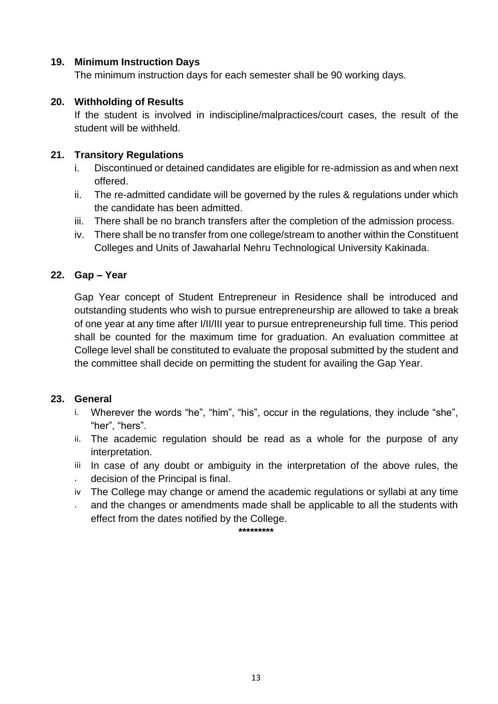# **19. Minimum Instruction Days**

The minimum instruction days for each semester shall be 90 working days.

# **20. Withholding of Results**

If the student is involved in indiscipline/malpractices/court cases, the result of the student will be withheld.

# **21. Transitory Regulations**

- i. Discontinued or detained candidates are eligible for re-admission as and when next offered.
- ii. The re-admitted candidate will be governed by the rules & regulations under which the candidate has been admitted.
- iii. There shall be no branch transfers after the completion of the admission process.
- iv. There shall be no transfer from one college/stream to another within the Constituent Colleges and Units of Jawaharlal Nehru Technological University Kakinada.

# **22. Gap – Year**

Gap Year concept of Student Entrepreneur in Residence shall be introduced and outstanding students who wish to pursue entrepreneurship are allowed to take a break of one year at any time after I/II/III year to pursue entrepreneurship full time. This period shall be counted for the maximum time for graduation. An evaluation committee at College level shall be constituted to evaluate the proposal submitted by the student and the committee shall decide on permitting the student for availing the Gap Year.

# **23. General**

- i. Wherever the words "he", "him", "his", occur in the regulations, they include "she", "her", "hers".
- ii. The academic regulation should be read as a whole for the purpose of any interpretation.
- iii In case of any doubt or ambiguity in the interpretation of the above rules, the
- . decision of the Principal is final.
- iv The College may change or amend the academic regulations or syllabi at any time
- . and the changes or amendments made shall be applicable to all the students with effect from the dates notified by the College.

**\*\*\*\*\*\*\*\*\***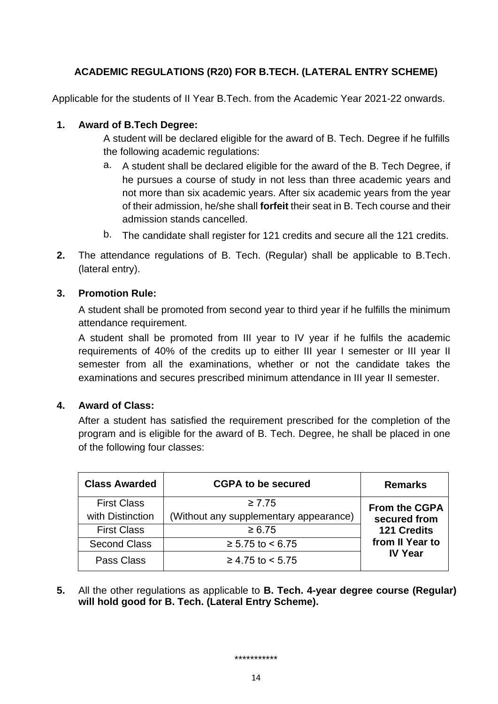# **ACADEMIC REGULATIONS (R20) FOR B.TECH. (LATERAL ENTRY SCHEME)**

Applicable for the students of II Year B.Tech. from the Academic Year 2021-22 onwards.

## **1. Award of B.Tech Degree:**

A student will be declared eligible for the award of B. Tech. Degree if he fulfills the following academic regulations:

- a. A student shall be declared eligible for the award of the B. Tech Degree, if he pursues a course of study in not less than three academic years and not more than six academic years. After six academic years from the year of their admission, he/she shall **forfeit** their seat in B. Tech course and their admission stands cancelled.
- b. The candidate shall register for 121 credits and secure all the 121 credits.
- **2.** The attendance regulations of B. Tech. (Regular) shall be applicable to B.Tech. (lateral entry).

#### **3. Promotion Rule:**

A student shall be promoted from second year to third year if he fulfills the minimum attendance requirement.

A student shall be promoted from III year to IV year if he fulfils the academic requirements of 40% of the credits up to either III year I semester or III year II semester from all the examinations, whether or not the candidate takes the examinations and secures prescribed minimum attendance in III year II semester.

#### **4. Award of Class:**

After a student has satisfied the requirement prescribed for the completion of the program and is eligible for the award of B. Tech. Degree, he shall be placed in one of the following four classes:

| <b>Class Awarded</b> | <b>CGPA to be secured</b>              | <b>Remarks</b>       |
|----------------------|----------------------------------------|----------------------|
| <b>First Class</b>   | $\geq 7.75$                            | <b>From the CGPA</b> |
| with Distinction     | (Without any supplementary appearance) | secured from         |
| <b>First Class</b>   | $\ge 6.75$                             | <b>121 Credits</b>   |
| <b>Second Class</b>  | $≥ 5.75$ to < 6.75                     | from II Year to      |
| Pass Class           | $≥ 4.75$ to < 5.75                     | <b>IV Year</b>       |

**5.** All the other regulations as applicable to **B. Tech. 4-year degree course (Regular) will hold good for B. Tech. (Lateral Entry Scheme).**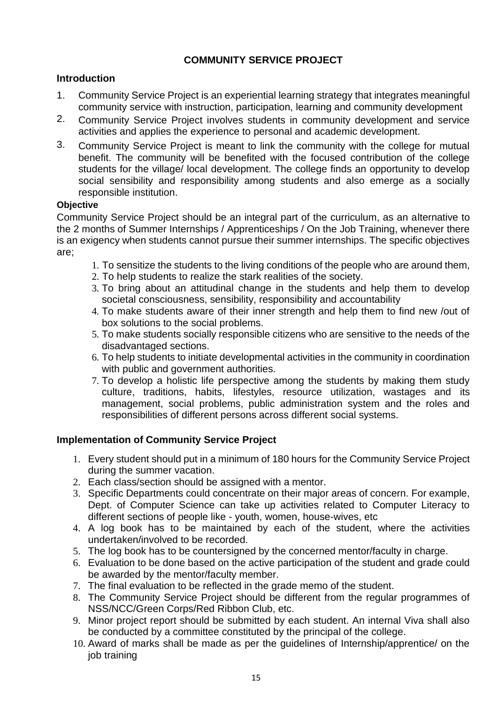# **COMMUNITY SERVICE PROJECT**

## **Introduction**

- 1. Community Service Project is an experiential learning strategy that integrates meaningful community service with instruction, participation, learning and community development
- 2. Community Service Project involves students in community development and service activities and applies the experience to personal and academic development.
- 3. Community Service Project is meant to link the community with the college for mutual benefit. The community will be benefited with the focused contribution of the college students for the village/ local development. The college finds an opportunity to develop social sensibility and responsibility among students and also emerge as a socially responsible institution.

#### **Objective**

Community Service Project should be an integral part of the curriculum, as an alternative to the 2 months of Summer Internships / Apprenticeships / On the Job Training, whenever there is an exigency when students cannot pursue their summer internships. The specific objectives are;

- 1. To sensitize the students to the living conditions of the people who are around them,
- 2. To help students to realize the stark realities of the society.
- 3. To bring about an attitudinal change in the students and help them to develop societal consciousness, sensibility, responsibility and accountability
- 4. To make students aware of their inner strength and help them to find new /out of box solutions to the social problems.
- 5. To make students socially responsible citizens who are sensitive to the needs of the disadvantaged sections.
- 6. To help students to initiate developmental activities in the community in coordination with public and government authorities.
- 7. To develop a holistic life perspective among the students by making them study culture, traditions, habits, lifestyles, resource utilization, wastages and its management, social problems, public administration system and the roles and responsibilities of different persons across different social systems.

# **Implementation of Community Service Project**

- 1. Every student should put in a minimum of 180 hours for the Community Service Project during the summer vacation.
- 2. Each class/section should be assigned with a mentor.
- 3. Specific Departments could concentrate on their major areas of concern. For example, Dept. of Computer Science can take up activities related to Computer Literacy to different sections of people like - youth, women, house-wives, etc
- 4. A log book has to be maintained by each of the student, where the activities undertaken/involved to be recorded.
- 5. The log book has to be countersigned by the concerned mentor/faculty in charge.
- 6. Evaluation to be done based on the active participation of the student and grade could be awarded by the mentor/faculty member.
- 7. The final evaluation to be reflected in the grade memo of the student.
- 8. The Community Service Project should be different from the regular programmes of NSS/NCC/Green Corps/Red Ribbon Club, etc.
- 9. Minor project report should be submitted by each student. An internal Viva shall also be conducted by a committee constituted by the principal of the college.
- 10. Award of marks shall be made as per the guidelines of Internship/apprentice/ on the job training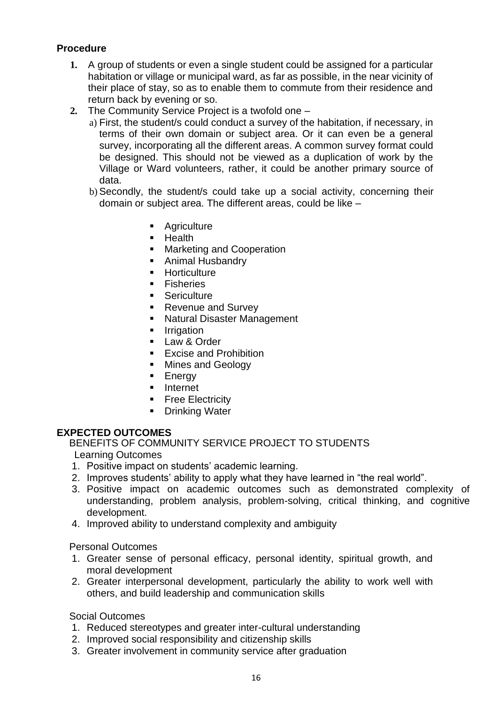# **Procedure**

- **1.** A group of students or even a single student could be assigned for a particular habitation or village or municipal ward, as far as possible, in the near vicinity of their place of stay, so as to enable them to commute from their residence and return back by evening or so.
- **2.** The Community Service Project is a twofold one
	- a) First, the student/s could conduct a survey of the habitation, if necessary, in terms of their own domain or subject area. Or it can even be a general survey, incorporating all the different areas. A common survey format could be designed. This should not be viewed as a duplication of work by the Village or Ward volunteers, rather, it could be another primary source of data.
	- b) Secondly, the student/s could take up a social activity, concerning their domain or subject area. The different areas, could be like –
		- Agriculture
		- Health
		- Marketing and Cooperation
		- Animal Husbandry
		- Horticulture
		- Fisheries
		- Sericulture
		- Revenue and Survey
		- Natural Disaster Management
		- **·** Irrigation
		- Law & Order
		- Excise and Prohibition
		- Mines and Geology
		- Energy
		- Internet
		- **Executed Finance Electricity**
		- Drinking Water

#### **EXPECTED OUTCOMES**

BENEFITS OF COMMUNITY SERVICE PROJECT TO STUDENTS

Learning Outcomes

- 1. Positive impact on students' academic learning.
- 2. Improves students' ability to apply what they have learned in "the real world".
- 3. Positive impact on academic outcomes such as demonstrated complexity of understanding, problem analysis, problem-solving, critical thinking, and cognitive development.
- 4. Improved ability to understand complexity and ambiguity

Personal Outcomes

- 1. Greater sense of personal efficacy, personal identity, spiritual growth, and moral development
- 2. Greater interpersonal development, particularly the ability to work well with others, and build leadership and communication skills

Social Outcomes

- 1. Reduced stereotypes and greater inter-cultural understanding
- 2. Improved social responsibility and citizenship skills
- 3. Greater involvement in community service after graduation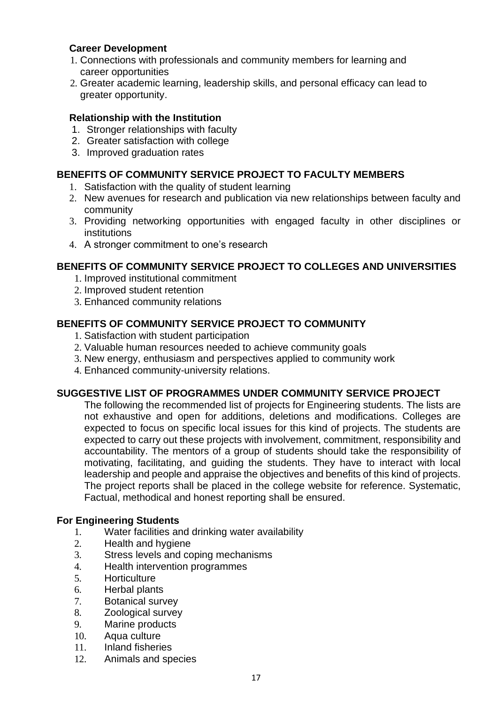## **Career Development**

- 1. Connections with professionals and community members for learning and career opportunities
- 2. Greater academic learning, leadership skills, and personal efficacy can lead to greater opportunity.

## **Relationship with the Institution**

- 1. Stronger relationships with faculty
- 2. Greater satisfaction with college
- 3. Improved graduation rates

## **BENEFITS OF COMMUNITY SERVICE PROJECT TO FACULTY MEMBERS**

- 1. Satisfaction with the quality of student learning
- 2. New avenues for research and publication via new relationships between faculty and community
- 3. Providing networking opportunities with engaged faculty in other disciplines or institutions
- 4. A stronger commitment to one's research

# **BENEFITS OF COMMUNITY SERVICE PROJECT TO COLLEGES AND UNIVERSITIES**

- 1. Improved institutional commitment
- 2. Improved student retention
- 3. Enhanced community relations

## **BENEFITS OF COMMUNITY SERVICE PROJECT TO COMMUNITY**

- 1. Satisfaction with student participation
- 2. Valuable human resources needed to achieve community goals
- 3. New energy, enthusiasm and perspectives applied to community work
- 4. Enhanced community-university relations.

# **SUGGESTIVE LIST OF PROGRAMMES UNDER COMMUNITY SERVICE PROJECT**

The following the recommended list of projects for Engineering students. The lists are not exhaustive and open for additions, deletions and modifications. Colleges are expected to focus on specific local issues for this kind of projects. The students are expected to carry out these projects with involvement, commitment, responsibility and accountability. The mentors of a group of students should take the responsibility of motivating, facilitating, and guiding the students. They have to interact with local leadership and people and appraise the objectives and benefits of this kind of projects. The project reports shall be placed in the college website for reference. Systematic, Factual, methodical and honest reporting shall be ensured.

#### **For Engineering Students**

- 1. Water facilities and drinking water availability
- 2. Health and hygiene
- 3. Stress levels and coping mechanisms
- 4. Health intervention programmes
- 5. Horticulture
- 6. Herbal plants
- 7. Botanical survey
- 8. Zoological survey
- 9. Marine products
- 10. Aqua culture
- 11. Inland fisheries
- 12. Animals and species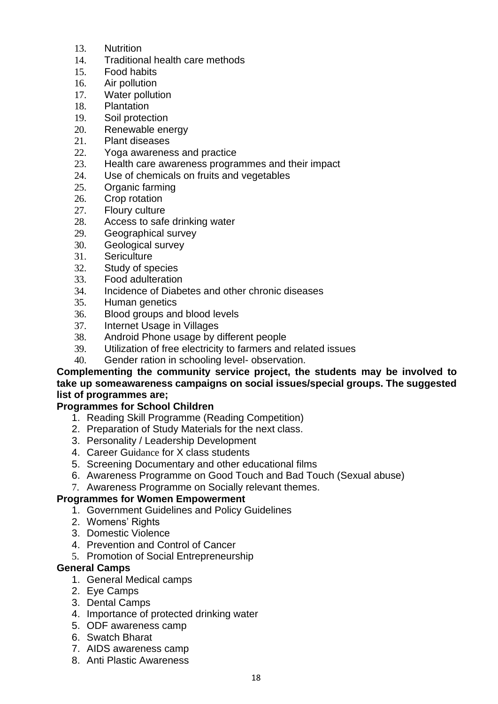- 13. Nutrition
- 14. Traditional health care methods
- 15. Food habits
- 16. Air pollution
- 17. Water pollution
- 18. Plantation
- 19. Soil protection
- 20. Renewable energy
- 21. Plant diseases
- 22. Yoga awareness and practice
- 23. Health care awareness programmes and their impact
- 24. Use of chemicals on fruits and vegetables
- 25. Organic farming
- 26. Crop rotation
- 27. Floury culture
- 28. Access to safe drinking water
- 29. Geographical survey
- 30. Geological survey
- 31. Sericulture
- 32. Study of species
- 33. Food adulteration
- 34. Incidence of Diabetes and other chronic diseases
- 35. Human genetics
- 36. Blood groups and blood levels
- 37. Internet Usage in Villages
- 38. Android Phone usage by different people
- 39. Utilization of free electricity to farmers and related issues
- 40. Gender ration in schooling level- observation.

#### **Complementing the community service project, the students may be involved to take up someawareness campaigns on social issues/special groups. The suggested list of programmes are;**

# **Programmes for School Children**

- 1. Reading Skill Programme (Reading Competition)
- 2. Preparation of Study Materials for the next class.
- 3. Personality / Leadership Development
- 4. Career Guidance for X class students
- 5. Screening Documentary and other educational films
- 6. Awareness Programme on Good Touch and Bad Touch (Sexual abuse)
- 7. Awareness Programme on Socially relevant themes.

# **Programmes for Women Empowerment**

- 1. Government Guidelines and Policy Guidelines
- 2. Womens' Rights
- 3. Domestic Violence
- 4. Prevention and Control of Cancer
- 5. Promotion of Social Entrepreneurship

## **General Camps**

- 1. General Medical camps
- 2. Eye Camps
- 3. Dental Camps
- 4. Importance of protected drinking water
- 5. ODF awareness camp
- 6. Swatch Bharat
- 7. AIDS awareness camp
- 8. Anti Plastic Awareness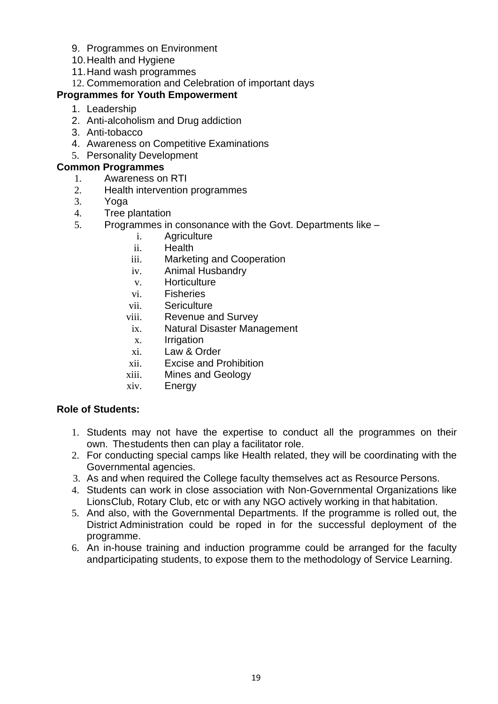- 9. Programmes on Environment
- 10.Health and Hygiene
- 11.Hand wash programmes
- 12. Commemoration and Celebration of important days

## **Programmes for Youth Empowerment**

- 1. Leadership
- 2. Anti-alcoholism and Drug addiction
- 3. Anti-tobacco
- 4. Awareness on Competitive Examinations
- 5. Personality Development

## **Common Programmes**

- 1. Awareness on RTI
- 2. Health intervention programmes
- 3. Yoga
- 4. Tree plantation
- 5. Programmes in consonance with the Govt. Departments like
	- i. Agriculture
	- ii. Health
	- iii. Marketing and Cooperation
	- iv. Animal Husbandry
	- v. Horticulture
	- vi. Fisheries
	- vii. Sericulture
	- viii. Revenue and Survey
	- ix. Natural Disaster Management
	- x. Irrigation
	- xi. Law & Order
	- xii. Excise and Prohibition
	- xiii. Mines and Geology
	- xiv. Energy

# **Role of Students:**

- 1. Students may not have the expertise to conduct all the programmes on their own. Thestudents then can play a facilitator role.
- 2. For conducting special camps like Health related, they will be coordinating with the Governmental agencies.
- 3. As and when required the College faculty themselves act as Resource Persons.
- 4. Students can work in close association with Non-Governmental Organizations like LionsClub, Rotary Club, etc or with any NGO actively working in that habitation.
- 5. And also, with the Governmental Departments. If the programme is rolled out, the District Administration could be roped in for the successful deployment of the programme.
- 6. An in-house training and induction programme could be arranged for the faculty andparticipating students, to expose them to the methodology of Service Learning.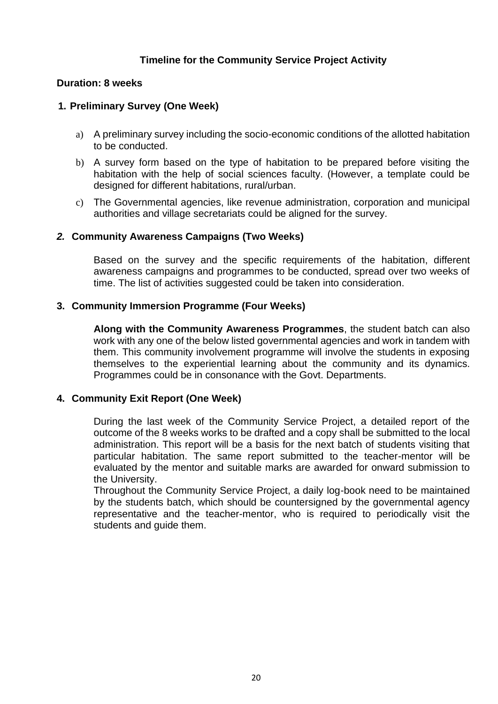## **Timeline for the Community Service Project Activity**

#### **Duration: 8 weeks**

## **1. Preliminary Survey (One Week)**

- a) A preliminary survey including the socio-economic conditions of the allotted habitation to be conducted.
- b) A survey form based on the type of habitation to be prepared before visiting the habitation with the help of social sciences faculty. (However, a template could be designed for different habitations, rural/urban.
- c) The Governmental agencies, like revenue administration, corporation and municipal authorities and village secretariats could be aligned for the survey.

#### *2.* **Community Awareness Campaigns (Two Weeks)**

Based on the survey and the specific requirements of the habitation, different awareness campaigns and programmes to be conducted, spread over two weeks of time. The list of activities suggested could be taken into consideration.

#### **3. Community Immersion Programme (Four Weeks)**

**Along with the Community Awareness Programmes**, the student batch can also work with any one of the below listed governmental agencies and work in tandem with them. This community involvement programme will involve the students in exposing themselves to the experiential learning about the community and its dynamics. Programmes could be in consonance with the Govt. Departments.

#### **4. Community Exit Report (One Week)**

During the last week of the Community Service Project, a detailed report of the outcome of the 8 weeks works to be drafted and a copy shall be submitted to the local administration. This report will be a basis for the next batch of students visiting that particular habitation. The same report submitted to the teacher-mentor will be evaluated by the mentor and suitable marks are awarded for onward submission to the University.

Throughout the Community Service Project, a daily log-book need to be maintained by the students batch, which should be countersigned by the governmental agency representative and the teacher-mentor, who is required to periodically visit the students and guide them.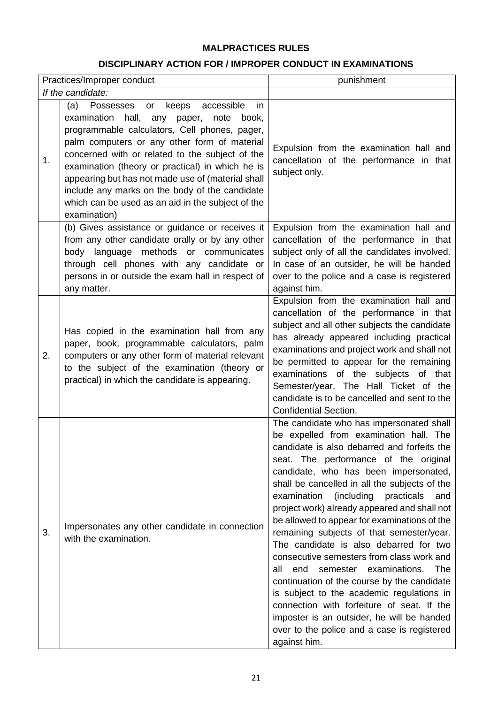### **MALPRACTICES RULES**

# **DISCIPLINARY ACTION FOR / IMPROPER CONDUCT IN EXAMINATIONS**

| Practices/Improper conduct |                                                                                                                                                                                                                                                                                                                                                                                                                                                                                     | punishment                                                                                                                                                                                                                                                                                                                                                                                                                                                                                                                                                                                                                                                                                                                                                                                                                                                          |  |
|----------------------------|-------------------------------------------------------------------------------------------------------------------------------------------------------------------------------------------------------------------------------------------------------------------------------------------------------------------------------------------------------------------------------------------------------------------------------------------------------------------------------------|---------------------------------------------------------------------------------------------------------------------------------------------------------------------------------------------------------------------------------------------------------------------------------------------------------------------------------------------------------------------------------------------------------------------------------------------------------------------------------------------------------------------------------------------------------------------------------------------------------------------------------------------------------------------------------------------------------------------------------------------------------------------------------------------------------------------------------------------------------------------|--|
|                            | If the candidate:                                                                                                                                                                                                                                                                                                                                                                                                                                                                   |                                                                                                                                                                                                                                                                                                                                                                                                                                                                                                                                                                                                                                                                                                                                                                                                                                                                     |  |
| 1.                         | keeps accessible<br>(a)<br>Possesses<br>or<br>in.<br>examination hall, any paper, note<br>book,<br>programmable calculators, Cell phones, pager,<br>palm computers or any other form of material<br>concerned with or related to the subject of the<br>examination (theory or practical) in which he is<br>appearing but has not made use of (material shall<br>include any marks on the body of the candidate<br>which can be used as an aid in the subject of the<br>examination) | Expulsion from the examination hall and<br>cancellation of the performance in that<br>subject only.                                                                                                                                                                                                                                                                                                                                                                                                                                                                                                                                                                                                                                                                                                                                                                 |  |
|                            | (b) Gives assistance or guidance or receives it<br>from any other candidate orally or by any other<br>body language methods or communicates<br>through cell phones with any candidate or<br>persons in or outside the exam hall in respect of<br>any matter.                                                                                                                                                                                                                        | Expulsion from the examination hall and<br>cancellation of the performance in that<br>subject only of all the candidates involved.<br>In case of an outsider, he will be handed<br>over to the police and a case is registered<br>against him.                                                                                                                                                                                                                                                                                                                                                                                                                                                                                                                                                                                                                      |  |
| 2.                         | Has copied in the examination hall from any<br>paper, book, programmable calculators, palm<br>computers or any other form of material relevant<br>to the subject of the examination (theory or<br>practical) in which the candidate is appearing.                                                                                                                                                                                                                                   | Expulsion from the examination hall and<br>cancellation of the performance in that<br>subject and all other subjects the candidate<br>has already appeared including practical<br>examinations and project work and shall not<br>be permitted to appear for the remaining<br>examinations of the subjects of that<br>Semester/year. The Hall Ticket of the<br>candidate is to be cancelled and sent to the<br><b>Confidential Section.</b>                                                                                                                                                                                                                                                                                                                                                                                                                          |  |
| 3.                         | Impersonates any other candidate in connection<br>with the examination.                                                                                                                                                                                                                                                                                                                                                                                                             | The candidate who has impersonated shall<br>be expelled from examination hall. The<br>candidate is also debarred and forfeits the<br>seat. The performance of the original<br>candidate, who has been impersonated,<br>shall be cancelled in all the subjects of the<br>examination<br>(including<br>practicals<br>and<br>project work) already appeared and shall not<br>be allowed to appear for examinations of the<br>remaining subjects of that semester/year.<br>The candidate is also debarred for two<br>consecutive semesters from class work and<br>all<br>examinations.<br>The<br>end<br>semester<br>continuation of the course by the candidate<br>is subject to the academic regulations in<br>connection with forfeiture of seat. If the<br>imposter is an outsider, he will be handed<br>over to the police and a case is registered<br>against him. |  |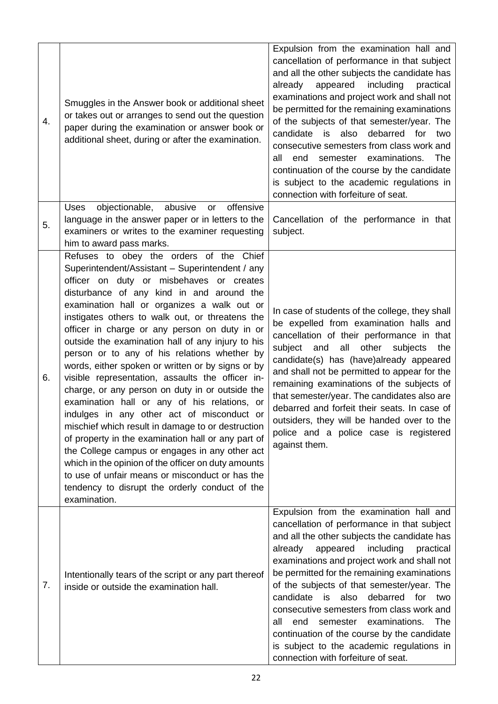| 4. | Smuggles in the Answer book or additional sheet<br>or takes out or arranges to send out the question<br>paper during the examination or answer book or<br>additional sheet, during or after the examination.                                                                                                                                                                                                                                                                                                                                                                                                                                                                                                                                                                                                                                                                                                                                                                                                                                   | Expulsion from the examination hall and<br>cancellation of performance in that subject<br>and all the other subjects the candidate has<br>already<br>appeared<br>including<br>practical<br>examinations and project work and shall not<br>be permitted for the remaining examinations<br>of the subjects of that semester/year. The<br>debarred<br>candidate<br>also<br>for<br>is<br>two<br>consecutive semesters from class work and<br>end<br>semester examinations.<br>The<br>all<br>continuation of the course by the candidate<br>is subject to the academic regulations in<br>connection with forfeiture of seat. |
|----|------------------------------------------------------------------------------------------------------------------------------------------------------------------------------------------------------------------------------------------------------------------------------------------------------------------------------------------------------------------------------------------------------------------------------------------------------------------------------------------------------------------------------------------------------------------------------------------------------------------------------------------------------------------------------------------------------------------------------------------------------------------------------------------------------------------------------------------------------------------------------------------------------------------------------------------------------------------------------------------------------------------------------------------------|-------------------------------------------------------------------------------------------------------------------------------------------------------------------------------------------------------------------------------------------------------------------------------------------------------------------------------------------------------------------------------------------------------------------------------------------------------------------------------------------------------------------------------------------------------------------------------------------------------------------------|
| 5. | objectionable,<br>abusive<br>offensive<br><b>Uses</b><br>or<br>language in the answer paper or in letters to the<br>examiners or writes to the examiner requesting<br>him to award pass marks.                                                                                                                                                                                                                                                                                                                                                                                                                                                                                                                                                                                                                                                                                                                                                                                                                                                 | Cancellation of the performance in that<br>subject.                                                                                                                                                                                                                                                                                                                                                                                                                                                                                                                                                                     |
| 6. | Refuses to obey the orders of the Chief<br>Superintendent/Assistant - Superintendent / any<br>officer on duty or misbehaves or creates<br>disturbance of any kind in and around the<br>examination hall or organizes a walk out or<br>instigates others to walk out, or threatens the<br>officer in charge or any person on duty in or<br>outside the examination hall of any injury to his<br>person or to any of his relations whether by<br>words, either spoken or written or by signs or by<br>visible representation, assaults the officer in-<br>charge, or any person on duty in or outside the<br>examination hall or any of his relations, or<br>indulges in any other act of misconduct or<br>mischief which result in damage to or destruction<br>of property in the examination hall or any part of<br>the College campus or engages in any other act<br>which in the opinion of the officer on duty amounts<br>to use of unfair means or misconduct or has the<br>tendency to disrupt the orderly conduct of the<br>examination. | In case of students of the college, they shall<br>be expelled from examination halls and<br>cancellation of their performance in that<br>all<br>other<br>subjects<br>subject<br>and<br>the<br>candidate(s) has (have)already appeared<br>and shall not be permitted to appear for the<br>remaining examinations of the subjects of<br>that semester/year. The candidates also are<br>debarred and forfeit their seats. In case of<br>outsiders, they will be handed over to the<br>police and a police case is registered<br>against them.                                                                              |
| 7. | Intentionally tears of the script or any part thereof<br>inside or outside the examination hall.                                                                                                                                                                                                                                                                                                                                                                                                                                                                                                                                                                                                                                                                                                                                                                                                                                                                                                                                               | Expulsion from the examination hall and<br>cancellation of performance in that subject<br>and all the other subjects the candidate has<br>appeared<br>including<br>already<br>practical<br>examinations and project work and shall not<br>be permitted for the remaining examinations<br>of the subjects of that semester/year. The<br>debarred for<br>candidate<br>is is<br>also<br>two<br>consecutive semesters from class work and<br>semester examinations.<br>all<br>end<br>The<br>continuation of the course by the candidate<br>is subject to the academic regulations in<br>connection with forfeiture of seat. |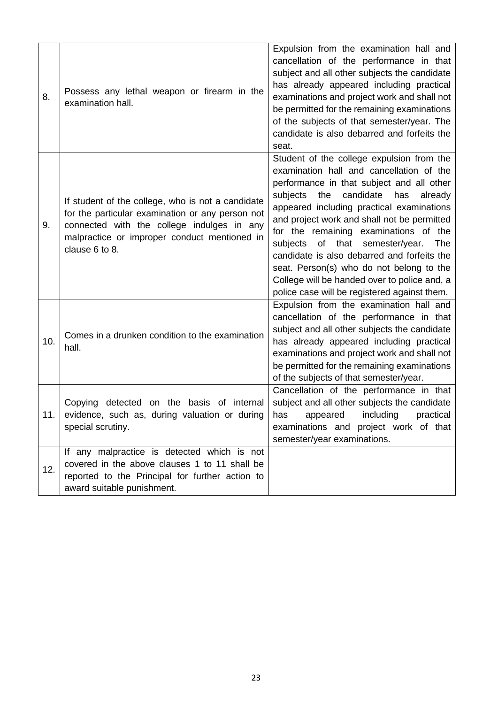| 8.  | Possess any lethal weapon or firearm in the<br>examination hall.                                                                                                                                                      | Expulsion from the examination hall and<br>cancellation of the performance in that<br>subject and all other subjects the candidate<br>has already appeared including practical<br>examinations and project work and shall not<br>be permitted for the remaining examinations<br>of the subjects of that semester/year. The<br>candidate is also debarred and forfeits the<br>seat.                                                                                                                                                                                      |
|-----|-----------------------------------------------------------------------------------------------------------------------------------------------------------------------------------------------------------------------|-------------------------------------------------------------------------------------------------------------------------------------------------------------------------------------------------------------------------------------------------------------------------------------------------------------------------------------------------------------------------------------------------------------------------------------------------------------------------------------------------------------------------------------------------------------------------|
| 9.  | If student of the college, who is not a candidate<br>for the particular examination or any person not<br>connected with the college indulges in any<br>malpractice or improper conduct mentioned in<br>clause 6 to 8. | Student of the college expulsion from the<br>examination hall and cancellation of the<br>performance in that subject and all other<br>candidate<br>subjects<br>the<br>has<br>already<br>appeared including practical examinations<br>and project work and shall not be permitted<br>for the remaining examinations of the<br>of<br>that<br>semester/year.<br>The<br>subjects<br>candidate is also debarred and forfeits the<br>seat. Person(s) who do not belong to the<br>College will be handed over to police and, a<br>police case will be registered against them. |
| 10. | Comes in a drunken condition to the examination<br>hall.                                                                                                                                                              | Expulsion from the examination hall and<br>cancellation of the performance in that<br>subject and all other subjects the candidate<br>has already appeared including practical<br>examinations and project work and shall not<br>be permitted for the remaining examinations<br>of the subjects of that semester/year.                                                                                                                                                                                                                                                  |
| 11. | on the basis of internal<br>detected<br>Copying<br>evidence, such as, during valuation or during<br>special scrutiny.                                                                                                 | Cancellation of the performance in that<br>subject and all other subjects the candidate<br>has<br>appeared including practical<br>examinations and project work of that<br>semester/year examinations.                                                                                                                                                                                                                                                                                                                                                                  |
| 12. | If any malpractice is detected which is not<br>covered in the above clauses 1 to 11 shall be<br>reported to the Principal for further action to<br>award suitable punishment.                                         |                                                                                                                                                                                                                                                                                                                                                                                                                                                                                                                                                                         |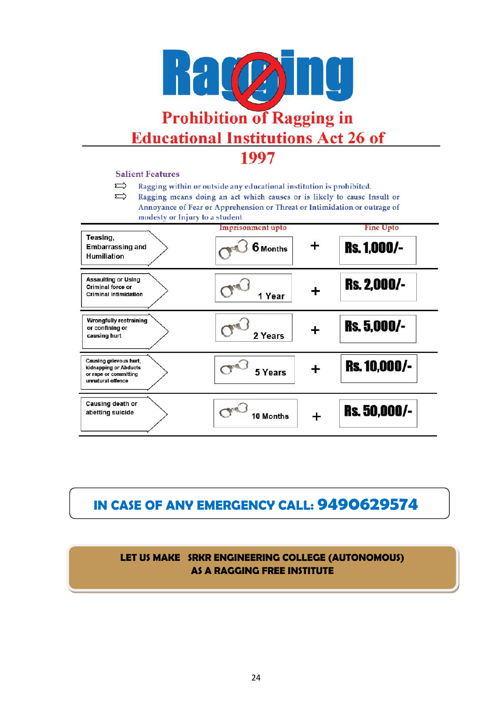

#### **Salient Features**

- $\Rightarrow$ Ragging within or outside any educational institution is prohibited.
- $\Rightarrow$ Ragging means doing an act which causes or is likely to cause Insult or Annoyance of Fear or Apprehension or Threat or Intimidation or outrage of modesty or Injury to a student

| Teasing,<br><b>Embarrassing and</b><br><b>Humiliation</b>                                     | Imprisonment upto<br>$\textcolor{red}{+}$<br>6 Months | <b>Fine Upto</b><br><b>Rs. 1,000/-</b> |
|-----------------------------------------------------------------------------------------------|-------------------------------------------------------|----------------------------------------|
| <b>Assaulting or Using</b><br>Criminal force or<br><b>Criminal intimidation</b>               | ╈<br>1 Year                                           | <b>Rs. 2,000/-</b>                     |
| <b>Wrongfully restraining</b><br>or confining or<br>causing hurt                              | ┿<br>2 Years                                          | <b>Rs. 5,000/-</b>                     |
| Causing grievous hurt,<br>kidnapping or Abducts<br>or rape or committing<br>unnatural offence | <b>Book</b><br>5 Years                                | <b>Rs. 10,000/-</b>                    |
| Causing death or<br>abetting suicide                                                          | 10 Months                                             | Rs. 50,000/-                           |

# **IN CASE OF ANY EMERGENCY CALL: 9490629574**

**LET US MAKE SRKR ENGINEERING COLLEGE (AUTONOMOUS) AS A RAGGING FREE INSTITUTE**

**AS A RAGGING FREE INSTITUTE**